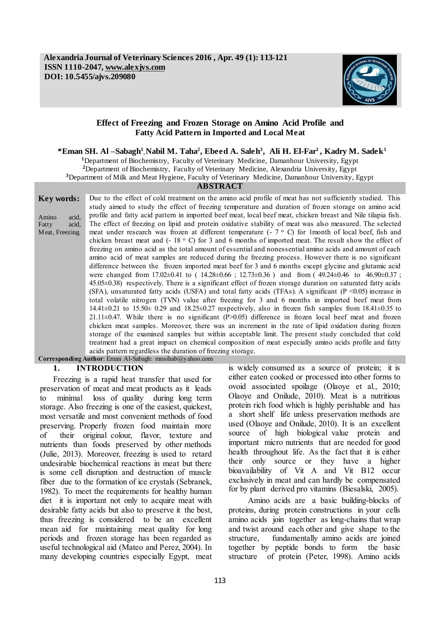

# **Effect of Freezing and Frozen Storage on Amino Acid Profile and Fatty Acid Pattern in Imported and Local Meat**

 **\*Eman SH. Al –Sabagh<sup>1</sup> ,Nabil M. Taha<sup>2</sup> , Ebeed A. Saleh<sup>3</sup> , Ali H. El-Far<sup>1</sup>, Kadry M. Sadek<sup>1</sup>**

**<sup>1</sup>**Department of Biochemistry, Faculty of Veterinary Medicine, Damanhour University, Egypt

**<sup>2</sup>**Department of Biochemistry, Faculty of Veterinary Medicine, Alexandria University, Egypt

**<sup>3</sup>**Department of Milk and Meat Hygiene, Faculty of Veterinary Medicine, Damanhour University, Egypt

# **ABSTRACT**

**Key words:**

Amino acid,<br>Fatty acid. Fatty Meat, Freezing.

Due to the effect of cold treatment on the amino acid profile of meat has not sufficiently studied. This study aimed to study the effect of freezing temperature and duration of frozen storage on amino acid profile and fatty acid pattern in imported beef meat, local beef meat, chicken breast and Nile tilapia fish. The effect of freezing on lipid and protein oxidative stability of meat was also measured. The selected meat under research was frozen at different temperature  $(-7 \circ C)$  for 1month of local beef, fish and chicken breast meat and  $(-18 \degree C)$  for 3 and 6 months of imported meat. The result show the effect of freezing on amino acid as the total amount of essential and nonessential amino acids and amount of each amino acid of meat samples are reduced during the freezing process. However there is no significant difference between the frozen imported meat beef for 3 and 6 months except glycine and glutamic acid were changed from 17.02±0.41 to (14.28±0.66; 12.73±0.36) and from (49.24±0.46 to 46.90±0.37; 45.05±0.38) respectively. There is a significant effect of frozen storage duration on saturated fatty acids (SFA), unsaturated fatty acids (USFA) and total fatty acids (TFAs). A significant ( $P$  <0.05) increase in total volatile nitrogen (TVN) value after freezing for 3 and 6 months in imported beef meat from  $14.41\pm0.21$  to  $15.50\pm 0.29$  and  $18.25\pm0.27$  respectively, also in frozen fish samples from  $18.41\pm0.35$  to  $21.11\pm0.47$ . While there is no significant (P>0.05) difference in frozen local beef meat and frozen chicken meat samples. Moreover, there was an increment in the rate of lipid oxidation during frozen storage of the examined samples but within acceptable limit. The present study concluded that cold treatment had a great impact on chemical composition of meat especially amino acids profile and fatty acids pattern regardless the duration of freezing storage.

**Corresponding Author**: Eman Al-Sabagh: mnsihab@yahoo.com

# **1. INTRODUCTION**

 Freezing is a rapid heat transfer that used for preservation of meat and meat products as it leads to minimal loss of quality during long term storage. Also freezing is one of the easiest, quickest, most versatile and most convenient methods of food preserving. Properly frozen food maintain more of their original colour, flavor, texture and nutrients than foods preserved by other methods (Julie, 2013). Moreover, freezing is used to retard undesirable biochemical reactions in meat but there is some cell disruption and destruction of muscle fiber due to the formation of ice crystals (Sebranek, 1982). To meet the requirements for healthy human diet it is important not only to acquire meat with desirable fatty acids but also to preserve it the best, thus freezing is considered to be an excellent mean aid for maintaining meat quality for long periods and frozen storage has been regarded as useful technological aid (Mateo and Perez, 2004). In many developing countries especially Egypt, meat

is widely consumed as a source of protein; it is either eaten cooked or processed into other forms to ovoid associated spoilage (Olaoye et al., 2010; Olaoye and Onilude, 2010). Meat is a nutritious protein rich food which is highly perishable and has a short shelf life unless preservation methods are used (Olaoye and Onilude, 2010). It is an excellent source of high biological value protein and important micro nutrients that are needed for good health throughout life. As the fact that it is either their only source or they have a higher bioavailability of Vit A and Vit B12 occur exclusively in meat and can hardly be compensated for by plant derived pro vitamins (Biesalski, 2005).

 Amino acids are a basic building-blocks of proteins, during protein constructions in your cells amino acids join together as long-chains that wrap and twist around each other and give shape to the structure, fundamentally amino acids are joined together by peptide bonds to form the basic structure of protein (Peter, 1998). Amino acids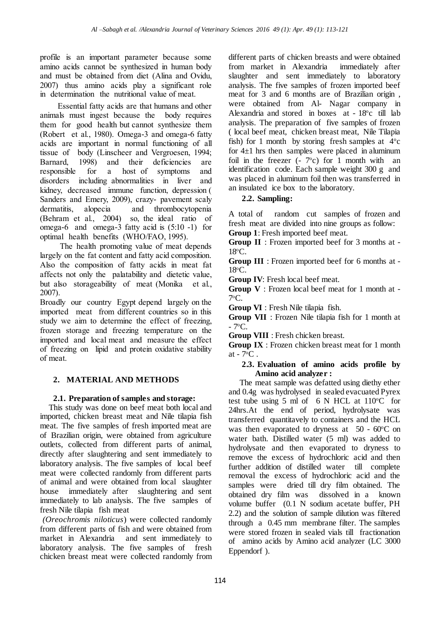profile is an important parameter because some amino acids cannot be synthesized in human body and must be obtained from diet (Alina and Ovidu, 2007) thus amino acids play a significant role in determination the nutritional value of meat.

 Essential fatty acids are that humans and other animals must ingest because the body requires them for good health but cannot synthesize them (Robert et al., 1980). Omega-3 and omega-6 fatty acids are important in normal functioning of all tissue of body (Linscheer and Vergroesen, 1994; Barnard, 1998) and their deficiencies are responsible for a host of symptoms and disorders including abnormalities in liver and kidney, decreased immune function, depression ( Sanders and Emery, 2009), crazy- pavement scaly dermatitis, alopecia and thrombocytopenia (Behram et al., 2004) so, the ideal ratio of omega-6 and omega-3 fatty acid is (5:10 -1) for optimal health benefits (WHO/FAO, 1995).

 The health promoting value of meat depends largely on the fat content and fatty acid composition. Also the composition of fatty acids in meat fat affects not only the palatability and dietetic value, but also storageability of meat (Monika et al., 2007).

Broadly our country Egypt depend largely on the imported meat from different countries so in this study we aim to determine the effect of freezing, frozen storage and freezing temperature on the imported and local meat and measure the effect of freezing on lipid and protein oxidative stability of meat.

# **2. MATERIAL AND METHODS**

# **2.1. Preparation of samples and storage:**

 This study was done on beef meat both local and imported, chicken breast meat and Nile tilapia fish meat. The five samples of fresh imported meat are of Brazilian origin, were obtained from agriculture outlets, collected from different parts of animal, directly after slaughtering and sent immediately to laboratory analysis. The five samples of local beef meat were collected randomly from different parts of animal and were obtained from local slaughter house immediately after slaughtering and sent immediately to lab analysis. The five samples of fresh Nile tilapia fish meat

*(Oreochromis niloticus*) were collected randomly from different parts of fish and were obtained from market in Alexandria and sent immediately to laboratory analysis. The five samples of fresh chicken breast meat were collected randomly from different parts of chicken breasts and were obtained from market in Alexandria immediately after slaughter and sent immediately to laboratory analysis. The five samples of frozen imported beef meat for 3 and 6 months are of Brazilian origin , were obtained from Al- Nagar company in Alexandria and stored in boxes  $at - 18^\circ c$  till lab analysis. The preparation of five samples of frozen ( local beef meat, chicken breast meat, Nile Tilapia fish) for 1 month by storing fresh samples at  $4^{\circ}c$ for  $4\pm1$  hrs then samples were placed in aluminum foil in the freezer  $(-7^\circ c)$  for 1 month with an identification code. Each sample weight 300 g and was placed in aluminum foil then was transferred in an insulated ice box to the laboratory.

# **2.2. Sampling:**

A total of random cut samples of frozen and fresh meat are divided into nine groups as follow:

**Group 1**: Fresh imported beef meat.

**Group II** : Frozen imported beef for 3 months at - 18<sup>o</sup>C.

**Group III** : Frozen imported beef for 6 months at - 18<sup>o</sup>C.

**Group IV**: Fresh local beef meat.

**Group V** : Frozen local beef meat for 1 month at - 7°C.

**Group VI** : Fresh Nile tilapia fish.

**Group VII** : Frozen Nile tilapia fish for 1 month at - 7ºC.

**Group VIII** : Fresh chicken breast.

**Group IX** : Frozen chicken breast meat for 1 month at -  $7^{\circ}$ C.

# **2.3. Evaluation of amino acids profile by Amino acid analyzer :**

 The meat sample was defatted using diethy ether and 0.4g was hydrolysed in sealed evacuated Pyrex test tube using  $5$  ml of 6 N HCL at  $110^{\circ}$ C for 24hrs.At the end of period, hydrolysate was transferred quantitavely to containers and the HCL was then evaporated to dryness at  $50 - 60^{\circ}$ C on water bath. Distilled water (5 ml) was added to hydrolysate and then evaporated to dryness to remove the excess of hydrochloric acid and then further addition of distilled water till complete removal the excess of hydrochloric acid and the samples were dried till dry film obtained. The obtained dry film was dissolved in a known volume buffer (0.1 N sodium acetate buffer, PH 2.2) and the solution of sample dilution was filtered through a 0.45 mm membrane filter. The samples were stored frozen in sealed vials till fractionation of amino acids by Amino acid analyzer (LC 3000 Eppendorf ).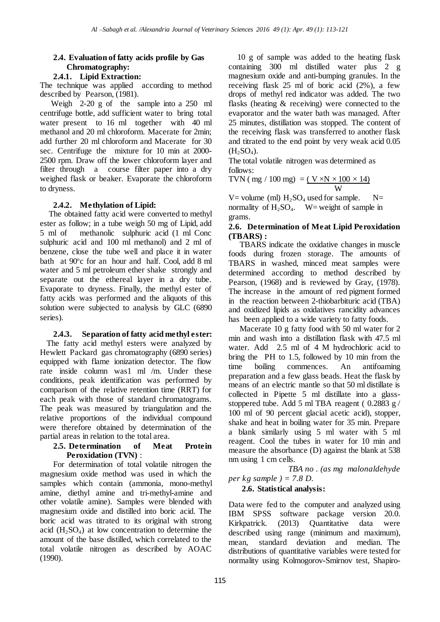# **2.4. Evaluation of fatty acids profile by Gas Chromatography:**

# **2.4.1. Lipid Extraction:**

The technique was applied according to method described by Pearson, (1981).

 Weigh 2-20 g of the sample into a 250 ml centrifuge bottle, add sufficient water to bring total water present to 16 ml together with 40 ml methanol and 20 ml chloroform. Macerate for 2min; add further 20 ml chloroform and Macerate for 30 sec. Centrifuge the mixture for 10 min at 2000- 2500 rpm. Draw off the lower chloroform layer and filter through a course filter paper into a dry weighed flask or beaker. Evaporate the chloroform to dryness.

# **2.4.2. Methylation of Lipid:**

 The obtained fatty acid were converted to methyl ester as follow; in a tube weigh 50 mg of Lipid, add 5 ml of methanolic sulphuric acid (1 ml Conc sulphuric acid and 100 ml methanol) and 2 ml of benzene, close the tube well and place it in water bath at 90°c for an hour and half. Cool, add 8 ml water and 5 ml petroleum ether shake strongly and separate out the ethereal layer in a dry tube. Evaporate to dryness. Finally, the methyl ester of fatty acids was performed and the aliquots of this solution were subjected to analysis by GLC (6890 series)*.*

**2.4.3. Separation of fatty acid methyl ester:** The fatty acid methyl esters were analyzed by Hewlett Packard gas chromatography (6890 series) equipped with flame ionization detector. The flow rate inside column was1 ml /m. Under these conditions, peak identification was performed by comparison of the relative retention time (RRT) for each peak with those of standard chromatograms. The peak was measured by triangulation and the relative proportions of the individual compound were therefore obtained by determination of the partial areas in relation to the total area.

#### **2.5. Determination of Meat Protein Peroxidation (TVN)** :

 For determination of total volatile nitrogen the magnesium oxide method was used in which the samples which contain (ammonia, mono-methyl amine, diethyl amine and tri-methyl-amine and other volatile amine). Samples were blended with magnesium oxide and distilled into boric acid. The boric acid was titrated to its original with strong acid  $(H_2SO_4)$  at low concentration to determine the amount of the base distilled, which correlated to the total volatile nitrogen as described by AOAC (1990).

 10 g of sample was added to the heating flask containing 300 ml distilled water plus 2 g magnesium oxide and anti-bumping granules. In the receiving flask 25 ml of boric acid (2%), a few drops of methyl red indicator was added. The two flasks (heating & receiving) were connected to the evaporator and the water bath was managed. After 25 minutes, distillation was stopped. The content of the receiving flask was transferred to another flask and titrated to the end point by very weak acid 0.05  $(H<sub>2</sub>SO<sub>4</sub>)$ .

The total volatile nitrogen was determined as follows:

TVN ( mg / 100 mg) =  $(V \times N \times 100 \times 14)$ W

V = volume (ml)  $H_2SO_4$  used for sample. N= normality of  $H_2SO_4$ . W= weight of sample in grams.

# **2.6. Determination of Meat Lipid Peroxidation (TBARS) :**

 TBARS indicate the oxidative changes in muscle foods during frozen storage. The amounts of TBARS in washed, minced meat samples were determined according to method described by Pearson, (1968) and is reviewed by Gray, (1978). The increase in the amount of red pigment formed in the reaction between 2-thiobarbituric acid (TBA) and oxidized lipids as oxidatives rancidity advances has been applied to a wide variety to fatty foods.

 Macerate 10 g fatty food with 50 ml water for 2 min and wash into a distillation flask with 47.5 ml water. Add 2.5 ml of 4 M hydrochloric acid to bring the PH to 1.5, followed by 10 min from the time boiling commences. An antifoaming preparation and a few glass beads. Heat the flask by means of an electric mantle so that 50 ml distillate is collected in Pipette 5 ml distillate into a glassstoppered tube. Add 5 ml TBA reagent ( $0.2883$  g / 100 ml of 90 percent glacial acetic acid), stopper, shake and heat in boiling water for 35 min. Prepare a blank similarly using 5 ml water with 5 ml reagent. Cool the tubes in water for 10 min and measure the absorbance (D) against the blank at 538 nm using 1 cm cells.

 *TBA no . (as mg malonaldehyde per kg sample ) = 7.8 D.*

# **2.6. Statistical analysis:**

Data were fed to the computer and analyzed using IBM SPSS software package version 20.0. Kirkpatrick. (2013) Quantitative data were described using range (minimum and maximum), mean, standard deviation and median. The distributions of quantitative variables were tested for normality using Kolmogorov-Smirnov test, Shapiro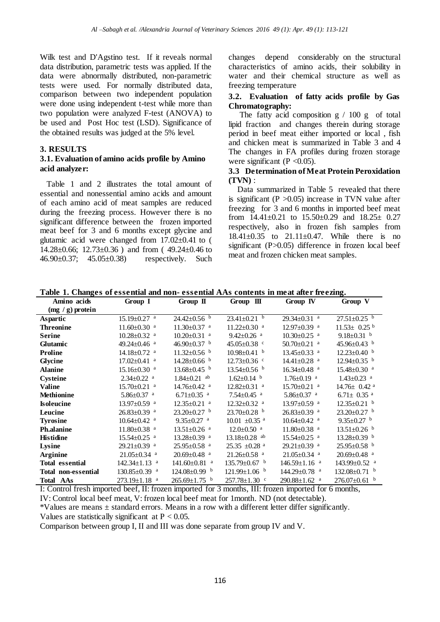Wilk test and D'Agstino test. If it reveals normal data distribution, parametric tests was applied. If the data were abnormally distributed, non-parametric tests were used. For normally distributed data, comparison between two independent population were done using independent t-test while more than two population were analyzed F-test (ANOVA) to be used and Post Hoc test (LSD). Significance of the obtained results was judged at the 5% level.

### **3. RESULTS**

# **3.1. Evaluation of amino acids profile by Amino acid analyzer:**

Table 1 and 2 illustrates the total amount of essential and nonessential amino acids and amount of each amino acid of meat samples are reduced during the freezing process. However there is no significant difference between the frozen imported meat beef for 3 and 6 months except glycine and glutamic acid were changed from 17.02±0.41 to ( 14.28±0.66; 12.73±0.36 ) and from ( 49.24±0.46 to 46.90±0.37; 45.05±0.38) respectively. Such

changes depend considerably on the structural characteristics of amino acids, their solubility in water and their chemical structure as well as freezing temperature

# **3.2. Evaluation of fatty acids profile by Gas Chromatography:**

The fatty acid composition  $g / 100 g$  of total lipid fraction and changes therein during storage period in beef meat either imported or local , fish and chicken meat is summarized in Table 3 and 4 The changes in FA profiles during frozen storage were significant ( $P < 0.05$ ).

# **3.3 Determination of Meat Protein Peroxidation (TVN)** :

 Data summarized in Table 5 revealed that there is significant ( $P > 0.05$ ) increase in TVN value after freezing for 3 and 6 months in imported beef meat from  $\overline{14.41} \pm 0.21$  to  $15.50 \pm 0.29$  and  $18.25 \pm 0.27$ respectively, also in frozen fish samples from 18.41±0.35 to 21.11±0.47. While there is no significant (P>0.05) difference in frozen local beef meat and frozen chicken meat samples.

**Table 1. Changes of essential and non- essential AAs contents in meat after freezing.**

| Amino acids            | Group I                                  | Group $\mathbf I$              | Group III                     | Group IV                       | Group V                        |
|------------------------|------------------------------------------|--------------------------------|-------------------------------|--------------------------------|--------------------------------|
| $(mg / g)$ protein     |                                          |                                |                               |                                |                                |
| Aspartic               | $15.19 \pm 0.27$ <sup>a</sup>            | $24.42 \pm 0.56$ b             | $23.41 \pm 0.21$ b            | $29.34 \pm 0.31$ <sup>a</sup>  | $27.51 \pm 0.25$ <sup>b</sup>  |
| <b>Threonine</b>       | $11.60 \pm 0.30$ <sup>a</sup>            | $11.30 \pm 0.37$ <sup>a</sup>  | $11.22 + 0.30$ <sup>a</sup>   | $12.97 \pm 0.39$ <sup>a</sup>  | $11.53 \pm 0.25$ b             |
| <b>Serine</b>          | $10.28 \pm 0.32$ <sup>a</sup>            | $10.20 \pm 0.31$ <sup>a</sup>  | $9.42 \pm 0.26$ <sup>a</sup>  | $10.30 \pm 0.25$ <sup>a</sup>  | 9.18 $\pm$ 0.31 b              |
| <b>Glutamic</b>        | 49.24 $\pm$ 0.46 $^{\circ}$ <sup>a</sup> | $46.90 \pm 0.37$ b             | $45.05 \pm 0.38$ c            | $50.70 \pm 0.21$ a             | 45.96 $\pm$ 0.43 b             |
| <b>Proline</b>         | $14.18 \pm 0.72$ <sup>a</sup>            | $11.32 \pm 0.56$ b             | $10.98 \pm 0.41$ b            | $13.45 \pm 0.33$ <sup>a</sup>  | $12.23 \pm 0.40$ b             |
| Glycine                | $17.02 \pm 0.41$ <sup>a</sup>            | $14.28 \pm 0.66$ b             | $12.73 \pm 0.36$ c            | $14.41 \pm 0.28$ <sup>a</sup>  | $12.94 \pm 0.35$ b             |
| <b>Alanine</b>         | $15.16 \pm 0.30$ <sup>a</sup>            | $13.68 \pm 0.45$ b             | $13.54 \pm 0.56$ b            | $16.34 \pm 0.48$ <sup>a</sup>  | $15.48 \pm 0.30$ <sup>a</sup>  |
| <b>Cysteine</b>        | $2.34 + 0.22$ <sup>a</sup>               | $1.84 \pm 0.21$ ab             | $1.62 \pm 0.14$ b             | $1.76 \pm 0.19$ <sup>a</sup>   | $1.43 + 0.23$ <sup>a</sup>     |
| <b>Valine</b>          | $15.70 \pm 0.21$ <sup>a</sup>            | $14.76 \pm 0.42$ <sup>a</sup>  | $12.82 \pm 0.31$ <sup>a</sup> | $15.70 \pm 0.21$ <sup>a</sup>  | $14.76 \pm 0.42$ <sup>a</sup>  |
| <b>Methionine</b>      | $5.86 \pm 0.37$ <sup>a</sup>             | $6.71 \pm 0.35$ <sup>a</sup>   | $7.54 \pm 0.45$ <sup>a</sup>  | $5.86 \pm 0.37$ <sup>a</sup>   | 6.71 $\pm$ 0.35 $a$            |
| <b>Isoleucine</b>      | 13.97 $\pm$ 0.59 a                       | $12.35 \pm 0.21$ <sup>a</sup>  | $12.32 + 0.32$ <sup>a</sup>   | $13.97 \pm 0.59$ <sup>a</sup>  | $12.35 \pm 0.21$ b             |
| Leucine                | $26.83 \pm 0.39$ <sup>a</sup>            | $23.20 \pm 0.27$ b             | $23.70 \pm 0.28$ b            | $26.83 \pm 0.39$ <sup>a</sup>  | $23.20 \pm 0.27$ b             |
| <b>Tyrosine</b>        | $10.64 \pm 0.42$ <sup>a</sup>            | $9.35 \pm 0.27$ <sup>a</sup>   | 10.01 $\pm$ 0.35 a            | $10.64 \pm 0.42$ <sup>a</sup>  | 9.35 $\pm$ 0.27 b              |
| Ph.alanine             | $11.80 \pm 0.38$ <sup>a</sup>            | $13.51 \pm 0.26$ <sup>a</sup>  | $12.0 \pm 0.50$ <sup>a</sup>  | $11.80 \pm 0.38$ <sup>a</sup>  | $13.51 \pm 0.26$ b             |
| <b>Histidine</b>       | $15.54 \pm 0.25$ <sup>a</sup>            | $13.28 \pm 0.39$ <sup>a</sup>  | $13.18 \pm 0.28$ ab           | $15.54 \pm 0.25$ <sup>a</sup>  | $13.28 \pm 0.39$ b             |
| Lysine                 | $29.21 \pm 0.39$ <sup>a</sup>            | $25.95 \pm 0.58$ <sup>a</sup>  | $25.35 \pm 0.28$ <sup>a</sup> | $29.21 \pm 0.39$ <sup>a</sup>  | $25.95 \pm 0.58$ b             |
| <b>Arginine</b>        | $21.05 \pm 0.34$ <sup>a</sup>            | $20.69 \pm 0.48$ <sup>a</sup>  | $21.26 \pm 0.58$ <sup>a</sup> | $21.05 \pm 0.34$ <sup>a</sup>  | $20.69 \pm 0.48$ <sup>a</sup>  |
| <b>Total essential</b> | $142.34 \pm 1.13$<br>a                   | $141.60 \pm 0.81$ <sup>a</sup> | $135.79 \pm 0.67$ b           | $146.59 \pm 1.16$ <sup>a</sup> | $143.99 \pm 0.52$ <sup>a</sup> |
| Total non-essential    | $130.85 \pm 0.39$ <sup>a</sup>           | $124.08 \pm 0.99$ b            | $121.99 \pm 1.06$ b           | $144.29 \pm 0.78$ <sup>a</sup> | $132.08 \pm 0.71$ b            |
| <b>Total AAs</b>       | $273.19 \pm 1.18$ <sup>a</sup>           | $265.69 \pm 1.75$ b            | $257.78 \pm 1.30$ c           | $290.88 \pm 1.62$ <sup>a</sup> | $276.07 \pm 0.61$<br>b         |

I: Control fresh imported beef, II: frozen imported for 3 months, III: frozen imported for 6 months, IV: Control local beef meat, V: frozen local beef meat for 1month. ND (not detectable).

\*Values are means ± standard errors. Means in a row with a different letter differ significantly.

Values are statistically significant at  $P < 0.05$ .

Comparison between group I, II and III was done separate from group IV and V.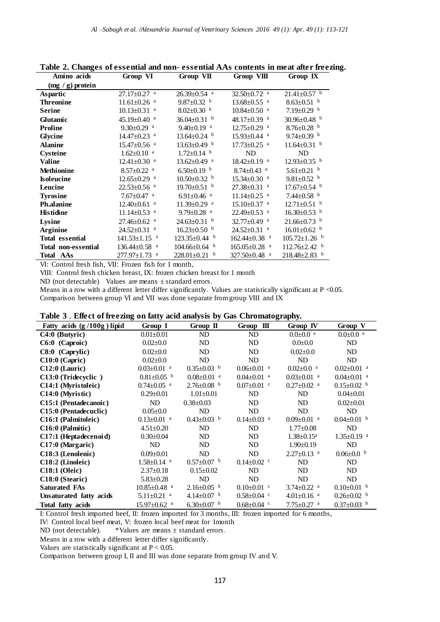| Amino acids                | Group $\overline{VI}$          | Group VII                               | Group VIII                     | Group IX            |
|----------------------------|--------------------------------|-----------------------------------------|--------------------------------|---------------------|
| $(mg / g)$ protein         |                                |                                         |                                |                     |
| Aspartic                   | $27.17 \pm 0.27$ <sup>a</sup>  | $26.39 \pm 0.54$ <sup>a</sup>           | $32.50 \pm 0.72$ <sup>a</sup>  | $21.41 \pm 0.57$ b  |
| <b>Threonine</b>           | $11.61 \pm 0.26$ <sup>a</sup>  | $9.87 \pm 0.32$ b                       | $13.68 \pm 0.55$ <sup>a</sup>  | $8.63 \pm 0.51$ b   |
| <b>Serine</b>              | $10.13 \pm 0.31$<br>a          | $8.02 \pm 0.30$ b                       | $10.84 \pm 0.50$ <sup>a</sup>  | $7.19 \pm 0.29$ b   |
| <b>Glutamic</b>            | $45.19 \pm 0.40$ <sup>a</sup>  | 36.04 $\pm$ 0.31 b                      | $48.17 \pm 0.39$ <sup>a</sup>  | 30.96 $\pm$ 0.48 b  |
| <b>Proline</b>             | $9.30 \pm 0.29$ <sup>a</sup>   | $9.40 \pm 0.19$ <sup>a</sup>            | $12.75 \pm 0.29$ <sup>a</sup>  | $8.76 \pm 0.28$ b   |
| Glycine                    | $14.47 \pm 0.23$ <sup>a</sup>  | $13.64 \pm 0.24$ b                      | $15.93 \pm 0.44$ <sup>a</sup>  | $9.74 \pm 0.39$ b   |
| <b>Alanine</b>             | $15.47 \pm 0.56$ <sup>a</sup>  | $13.63 \pm 0.49$ b                      | $17.73 \pm 0.25$ <sup>a</sup>  | $11.64 \pm 0.31$ b  |
| <b>Cysteine</b>            | $1.62 \pm 0.10$ <sup>a</sup>   | $1.72 \pm 0.14$ b                       | ND                             | N <sub>D</sub>      |
| <b>Valine</b>              | $12.41 \pm 0.30$ <sup>a</sup>  | $13.62 \pm 0.49$ <sup>a</sup>           | $18.42 \pm 0.19$ <sup>a</sup>  | $12.93 \pm 0.35$ b  |
| <b>Methionine</b>          | $8.57 \pm 0.22$ <sup>a</sup>   | $6.50 \pm 0.19$ b                       | $8.74 \pm 0.43$ <sup>a</sup>   | $5.61 \pm 0.21$ b   |
| <b>Isoleucine</b>          | $12.65 \pm 0.29$ <sup>a</sup>  | $10.50 \pm 0.32$ b                      | $15.34 \pm 0.30$ <sup>a</sup>  | $9.81 \pm 0.52$ b   |
| Leucine                    | $22.53 \pm 0.56$ <sup>a</sup>  | $19.70 \pm 0.51$ b                      | $27.38 \pm 0.31$ <sup>a</sup>  | $17.67 \pm 0.54$ b  |
| <b>Tyrosine</b>            | $7.67 \pm 0.47$ <sup>a</sup>   | 6.91 $\pm$ 0.46 $^{\circ}$ <sup>a</sup> | $11.14 + 0.25$ <sup>a</sup>    | $7.44 \pm 0.58$ b   |
| <b>Ph.alanine</b>          | $12.40 \pm 0.61$<br>a          | $11.39 \pm 0.29$ <sup>a</sup>           | $15.10 \pm 0.37$ <sup>a</sup>  | $12.71 \pm 0.51$ b  |
| <b>Histidine</b>           | $11.14 \pm 0.53$ <sup>a</sup>  | $9.79 \pm 0.28$ <sup>a</sup>            | $22.49 \pm 0.53$ <sup>a</sup>  | $16.30 \pm 0.53$ b  |
| Lysine                     | $27.46 \pm 0.62$<br>a          | $24.63 \pm 0.31$ b                      | 32.77 $\pm$ 0.49 a             | $21.66 \pm 0.73$ b  |
| <b>Arginine</b>            | $24.52 \pm 0.31$<br>a          | $16.23 \pm 0.50$ b                      | $24.52 \pm 0.31$ <sup>a</sup>  | $16.01 \pm 0.62$ b  |
| <b>Total essential</b>     | $141.53 \pm 1.15$ <sup>a</sup> | $123.35 \pm 0.44$ b                     | $162.44 \pm 0.38$ <sup>a</sup> | $105.72 \pm 1.26$ b |
| <b>Total non-essential</b> | $136.44 \pm 0.58$ <sup>a</sup> | $104.66 \pm 0.64$ b                     | $165.05 \pm 0.28$ <sup>a</sup> | $112.76 \pm 2.42$ b |
| <b>Total AAs</b>           | $277.97 \pm 1.73$ <sup>a</sup> | $228.01 \pm 0.21$<br>b                  | $327.50 \pm 0.48$ <sup>a</sup> | $218.48 \pm 2.83$ b |

**Table 2. Changes of essential and non- essential AAs contents in meat after freezing.**

VI: Control fresh fish, VII: Frozen fish for 1 month,

VIII: Control fresh chicken breast, IX: frozen chicken breast for 1 month

ND (not detectable) Values are means ± standard errors.

Means in a row with a different letter differ significantly. Values are statistically significant at P <0.05. Comparison between group VI and VII was done separate from group VIII and IX

| Table 3. Effect of freezing on fatty acid analysis by Gas Chromatography. |  |
|---------------------------------------------------------------------------|--|
|---------------------------------------------------------------------------|--|

| Fatty acids (g/100g) lipid | Group I                       | Group II             | Group III                      | Group IV                     | Group V                      |
|----------------------------|-------------------------------|----------------------|--------------------------------|------------------------------|------------------------------|
| $C4:0$ (Butyric)           | $0.01 \pm 0.01$               | ND                   | ND                             | $0.0 \pm 0.0$ <sup>a</sup>   | $0.0 \pm 0.0$ <sup>a</sup>   |
| C6:0 (Caproic)             | $0.02 \pm 0.0$                | ND                   | ND                             | $0.0 \pm 0.0$                | ND                           |
| $C8:0$ (Caprylic)          | $0.02+0.0$                    | ND                   | ND                             | $0.02+0.0$                   | ND                           |
| $C10:0$ (Capric)           | $0.02 \pm 0.0$                | ND                   | N <sub>D</sub>                 | ND                           | ND                           |
| $C12:0$ (Lauric)           | $0.03 \pm 0.01$ <sup>a</sup>  | $0.35 \pm 0.03$ b    | $0.06 \pm 0.01$<br>a           | $0.02 \pm 0.0$ <sup>a</sup>  | $0.02 \pm 0.01$ <sup>a</sup> |
| $C13:0$ (Tridecyclic)      | $0.81 \pm 0.05$ b             | $0.08 \pm 0.01$<br>a | $0.04 \pm 0.01$<br>a           | $0.03 \pm 0.01$ <sup>a</sup> | $0.04 \pm 0.01$ <sup>a</sup> |
| C14:1 (Myristoleic)        | $0.74 \pm 0.05$ <sup>a</sup>  | $2.76 \pm 0.08$ b    | $0.07 \pm 0.01$<br>$\mathbf c$ | $0.27 \pm 0.02$ <sup>a</sup> | $0.15 \pm 0.02$ b            |
| $C14:0$ (Myristic)         | $0.29 \pm 0.01$               | $1.01 \pm 0.01$      | ND                             | ND                           | $0.04 \pm 0.01$              |
| C15:1 (Pentadecanoic)      | ND                            | $0.38 \pm 0.03$      | ND                             | ND                           | $0.02 \pm 0.01$              |
| C15:0 (Pentadecuclic)      | $0.05 \pm 0.0$                | ND                   | ND                             | ND                           | ND                           |
| C16:1 (Palmitoleic)        | $0.13 \pm 0.01$ <sup>a</sup>  | $0.43 \pm 0.03$ b    | $0.14 \pm 0.03$ <sup>a</sup>   | $0.09 \pm 0.01$ <sup>a</sup> | $0.04 \pm 0.01$ b            |
| C16:0 (Palmitic)           | $4.51 \pm 0.20$               | ND                   | N <sub>D</sub>                 | $1.77 \pm 0.08$              | ND                           |
| C17:1 (Heptadecenoid)      | $0.30 \pm 0.04$               | ND                   | ND                             | $1.38 \pm 0.15^{\mathrm{a}}$ | $1.35 \pm 0.19$ <sup>a</sup> |
| C17:0 (Margaric)           | ND                            | ND                   | ND                             | $1.90 \pm 0.19$              | ND                           |
| C18:3 (Lenolenic)          | $0.09 \pm 0.01$               | ND                   | N <sub>D</sub>                 | $2.27 \pm 0.13$ <sup>a</sup> | $0.06 \pm 0.0$ b             |
| C18:2 (Linoleic)           | $1.58 \pm 0.14$ <sup>a</sup>  | $0.57 \pm 0.07$ b    | $0.14 \pm 0.02$ c              | ND                           | ND                           |
| $C18:1$ (Oleic)            | $2.37 \pm 0.18$               | $0.15 \pm 0.02$      | ND                             | ND                           | ND                           |
| C18:0 (Stearic)            | $5.83 \pm 0.28$               | ND                   | N <sub>D</sub>                 | ND                           | ND                           |
| <b>Saturated FAs</b>       | $10.85 \pm 0.48$ <sup>a</sup> | $2.16\pm0.05$ b      | $0.10 \pm 0.01$ c              | $3.74 \pm 0.22$ <sup>a</sup> | $0.10 \pm 0.01$ b            |
| Unsaturated fatty acids    | $5.11 \pm 0.21$ <sup>a</sup>  | 4.14 $\pm$ 0.07 b    | $0.58 \pm 0.04$ c              | $4.01 \pm 0.16$ <sup>a</sup> | $0.26 \pm 0.02$ b            |
| Total fatty acids          | $15.97 \pm 0.62$ <sup>a</sup> | 6.30 $\pm$ 0.07 b    | $0.68 \pm 0.04$ c              | $7.75 \pm 0.27$ <sup>a</sup> | $0.37 \pm 0.03$ b            |

I: Control fresh imported beef, II: frozen imported for 3 months, III: frozen imported for 6 months,

IV: Control local beef meat, V: frozen local beef meat for 1month

ND (not detectable). \*Values are means ± standard errors.

Means in a row with a different letter differ significantly.

Values are statistically significant at  $P < 0.05$ .

Comparison between group I, II and III was done separate from group IV and V.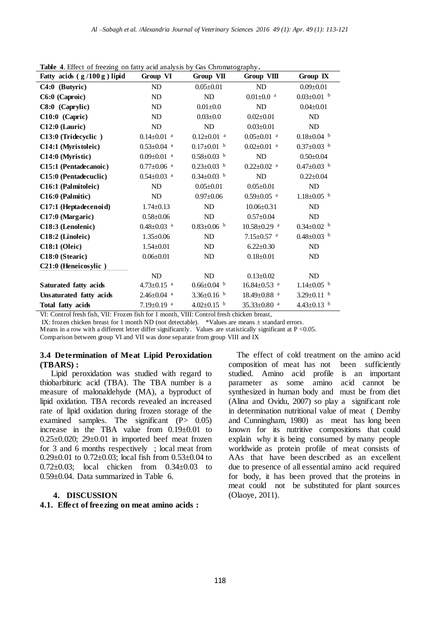| $\ldots$ Lettect of Heeland<br>Fatty acids $(g/100g)$ lipid | Group VI                     | on rate $\mu$ and $\mu$ on $\sigma$ on $\sigma$ continuo graphs.<br>Group VII | Group VIII                    | Group IX          |
|-------------------------------------------------------------|------------------------------|-------------------------------------------------------------------------------|-------------------------------|-------------------|
| $C4:0$ (Butyric)                                            | ND                           | $0.05 \pm 0.01$                                                               | ND                            | $0.09 \pm 0.01$   |
| C6:0 (Caproic)                                              | ND                           | ND                                                                            | $0.01 \pm 0.0$ <sup>a</sup>   | $0.03 \pm 0.01$ b |
| C8:0 (Caprylic)                                             | ND                           | $0.01 + 0.0$                                                                  | ND                            | $0.04 \pm 0.01$   |
| $C10:0$ (Capric)                                            | ND                           | $0.03 \pm 0.0$                                                                | $0.02 \pm 0.01$               | ND                |
| $C12:0$ (Lauric)                                            | ND                           | ND                                                                            | $0.03 \pm 0.01$               | ND                |
|                                                             |                              |                                                                               |                               |                   |
| C13:0 (Tridecyclic)                                         | $0.14 \pm 0.01$ <sup>a</sup> | $0.12 \pm 0.01$ <sup>a</sup>                                                  | $0.05 \pm 0.01$ <sup>a</sup>  | $0.18 \pm 0.04$ b |
| C14:1 (Myristoleic)                                         | $0.53 \pm 0.04$ <sup>a</sup> | $0.17 \pm 0.01$ b                                                             | $0.02 \pm 0.01$ <sup>a</sup>  | $0.37 \pm 0.03$ b |
| C14:0 (Myristic)                                            | $0.09 \pm 0.01$ <sup>a</sup> | $0.58 \pm 0.03$ b                                                             | ND                            | $0.50 \pm 0.04$   |
| C15:1 (Pentadecanoic)                                       | $0.77 \pm 0.06$ <sup>a</sup> | $0.23 \pm 0.03$ b                                                             | $0.22 \pm 0.02$ <sup>a</sup>  | $0.47 \pm 0.03$ b |
| C15:0 (Pentadecuclic)                                       | $0.54 \pm 0.03$ <sup>a</sup> | $0.34 \pm 0.03$ b                                                             | $\rm ND$                      | $0.22 \pm 0.04$   |
| C16:1 (Palmitoleic)                                         | ND                           | $0.05 \pm 0.01$                                                               | $0.05 \pm 0.01$               | ND                |
| C16:0 (Palmitic)                                            | ND                           | $0.97 \pm 0.06$                                                               | $0.59 \pm 0.05$ <sup>a</sup>  | $1.18 \pm 0.05$ b |
| C17:1 (Heptadecenoid)                                       | $1.74 \pm 0.13$              | ND                                                                            | $10.06 \pm 0.31$              | ND                |
| C17:0 (Margaric)                                            | $0.58 \pm 0.06$              | ND                                                                            | $0.57 \pm 0.04$               | ND                |
| C18:3 (Lenolenic)                                           | $0.48 \pm 0.03$ <sup>a</sup> | $0.83 \pm 0.06$ b                                                             | $10.58 + 0.29$ <sup>a</sup>   | $0.34 \pm 0.02$ b |
| C18:2 (Linoleic)                                            | $1.35 \pm 0.06$              | N <sub>D</sub>                                                                | $7.15 \pm 0.57$ <sup>a</sup>  | $0.48 \pm 0.03$ b |
| <b>C18:1 (Oleic)</b>                                        | $1.54 \pm 0.01$              | ND                                                                            | $6.22 \pm 0.30$               | ND                |
| C18:0 (Stearic)                                             | $0.06 \pm 0.01$              | ND                                                                            | $0.18 \pm 0.01$               | ND                |
| C21:0 (Heneicosylic)                                        |                              |                                                                               |                               |                   |
|                                                             | ND                           | N <sub>D</sub>                                                                | $0.13 \pm 0.02$               | ND                |
| Saturated fatty acids                                       | $4.73 \pm 0.15$ <sup>a</sup> | $0.66 \pm 0.04$ b                                                             | $16.84 \pm 0.53$ <sup>a</sup> | $1.14 \pm 0.05$ b |
| Unsaturated fatty acids                                     | $2.46 \pm 0.04$ <sup>a</sup> | $3.36 \pm 0.16$ b                                                             | $18.49 \pm 0.88$ <sup>a</sup> | $3.29 \pm 0.11$ b |
| Total fatty acids                                           | $7.19 \pm 0.19$ <sup>a</sup> | $4.02 \pm 0.15$ b                                                             | $35.33 \pm 0.80$ <sup>a</sup> | $4.43 \pm 0.13$ b |

**Table 4**. Effect of freezing on fatty acid analysis by Gas Chromatography**.**

VI: Control fresh fish, VII: Frozen fish for 1 month, VIII: Control fresh chicken breast,

IX: frozen chicken breast for 1 month ND (not detectable). \*Values are means ± standard errors.

Means in a row with a different letter differ significantly. Values are statistically significant at P <0.05.

Comparison between group VI and VII was done separate from group VIII and IX

#### **3.4 Determination of Meat Lipid Peroxidation (TBARS) :**

 Lipid peroxidation was studied with regard to thiobarbituric acid (TBA). The TBA number is a measure of malonaldehyde (MA), a byproduct of lipid oxidation. TBA records revealed an increased rate of lipid oxidation during frozen storage of the examined samples. The significant  $(P> 0.05)$ increase in the TBA value from 0.19±0.01 to  $0.25\pm0.020$ ;  $29\pm0.01$  in imported beef meat frozen for 3 and 6 months respectively ; local meat from 0.29±0.01 to 0.72±0.03; local fish from 0.53±0.04 to 0.72±0.03; local chicken from 0.34±0.03 to 0.59±0.04. Data summarized in Table 6.

# **4. DISCUSSION**

# **4.1. Effect of freezing on meat amino acids :**

 The effect of cold treatment on the amino acid composition of meat has not been sufficiently studied. Amino acid profile is an important parameter as some amino acid cannot be synthesized in human body and must be from diet (Alina and Ovidu, 2007) so play a significant role in determination nutritional value of meat ( Demby and Cunningham, 1980) as meat has long been known for its nutritive compositions that could explain why it is being consumed by many people worldwide as protein profile of meat consists of AAs that have been described as an excellent due to presence of all essential amino acid required for body, it has been proved that the proteins in meat could not be substituted for plant sources (Olaoye, 2011).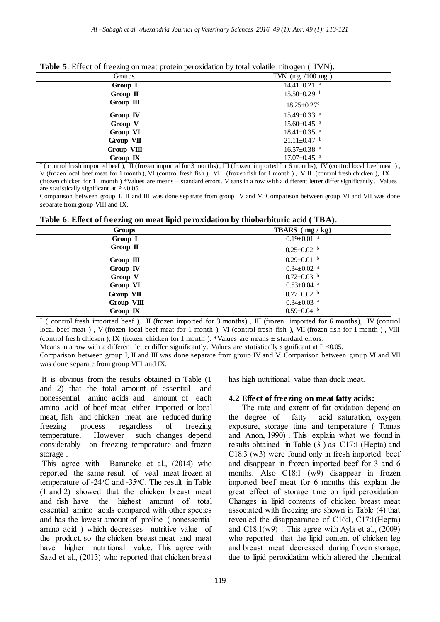| <b>Those</b> of the compact of them performance of total component $\mathbf{r}$ is $\mathbf{r}$ . |                               |  |
|---------------------------------------------------------------------------------------------------|-------------------------------|--|
| Groups                                                                                            | TVN $(mg / 100 \text{ mg})$   |  |
| Group I                                                                                           | $14.41 \pm 0.21$ <sup>a</sup> |  |
| Group $\mathbf I$                                                                                 | $15.50 \pm 0.29$ b            |  |
| Group $\mathbf{II}$                                                                               | $18.25 \pm 0.27$ °            |  |
| Group IV                                                                                          | $15.49 \pm 0.33$ <sup>a</sup> |  |
| Group V                                                                                           | $15.60 \pm 0.45$ <sup>a</sup> |  |
| Group VI                                                                                          | $18.41 \pm 0.35$ <sup>a</sup> |  |
| Group VII                                                                                         | $21.11 \pm 0.47$ b            |  |
| Group VIII                                                                                        | $16.57 \pm 0.38$ <sup>a</sup> |  |
| Group IX                                                                                          | $17.07 \pm 0.45$ <sup>a</sup> |  |

**Table 5**. Effect of freezing on meat protein peroxidation by total volatile nitrogen ( TVN).

I ( control fresh imported beef ), II (frozen imported for 3 months) , III (frozen imported for 6 months), IV (control local beef meat ) , V (frozen local beef meat for 1 month ), VI (control fresh fish ), VII (frozen fish for 1 month ) , VIII (control fresh chicken ), IX (frozen chicken for 1 month ) \*Values are means ± standard errors. Means in a row with a different letter differ significantly. Values are statistically significant at  $P < 0.05$ .

Comparison between group I, II and III was done separate from group IV and V. Comparison between group VI and VII was done separate from group VIII and IX.

**Table 6**. **Effect of freezing on meat lipid peroxidation by thiobarbituric acid ( TBA)**.

| ັ<br>. .<br>. .      | $\ddot{\phantom{1}}$         |
|----------------------|------------------------------|
| Groups               | <b>TBARS</b> $(mg/kg)$       |
| Group I              | $0.19 \pm 0.01$ <sup>a</sup> |
| Group $\Pi$          | $0.25 \pm 0.02$ b            |
| Group $\mathbf{III}$ | $0.29 \pm 0.01$ b            |
| Group $I\!V$         | $0.34 \pm 0.02$ <sup>a</sup> |
| Group V              | $0.72 \pm 0.03$ b            |
| Group VI             | $0.53 \pm 0.04$ <sup>a</sup> |
| Group VII            | $0.77 \pm 0.02$ b            |
| Group VIII           | $0.34 \pm 0.03$ <sup>a</sup> |
| Group IX             | $0.59 \pm 0.04$ b            |

I ( control fresh imported beef ), II (frozen imported for 3 months) , III (frozen imported for 6 months), IV (control local beef meat ), V (frozen local beef meat for 1 month ), VI (control fresh fish ), VII (frozen fish for 1 month ), VIII (control fresh chicken ), IX (frozen chicken for 1 month ). \*Values are means  $\pm$  standard errors.

Means in a row with a different letter differ significantly. Values are statistically significant at  $P < 0.05$ .

Comparison between group I, II and III was done separate from group IV and V. Comparison between group VI and VII was done separate from group VIII and IX.

It is obvious from the results obtained in Table (1 and 2) that the total amount of essential and nonessential amino acids and amount of each amino acid of beef meat either imported or local meat, fish and chicken meat are reduced during freezing process regardless of freezing temperature. However such changes depend considerably on freezing temperature and frozen storage .

This agree with Baraneko et al., (2014) who reported the same result of veal meat frozen at temperature of  $-24$ <sup>o</sup>C and  $-35$ <sup>o</sup>C. The result in Table (1 and 2) showed that the chicken breast meat and fish have the highest amount of total essential amino acids compared with other species and has the lowest amount of proline ( nonessential amino acid ) which decreases nutritive value of the product, so the chicken breast meat and meat have higher nutritional value. This agree with Saad et al., (2013) who reported that chicken breast

has high nutritional value than duck meat.

#### **4.2 Effect of freezing on meat fatty acids:**

 The rate and extent of fat oxidation depend on the degree of fatty acid saturation, oxygen exposure, storage time and temperature ( Tomas and Anon, 1990) . This explain what we found in results obtained in Table (3 ) as C17:1 (Hepta) and C18:3 (w3) were found only in fresh imported beef and disappear in frozen imported beef for 3 and 6 months. Also C18:1 (w9) disappear in frozen imported beef meat for 6 months this explain the great effect of storage time on lipid peroxidation. Changes in lipid contents of chicken breast meat associated with freezing are shown in Table (4) that revealed the disappearance of C16:1, C17:1(Hepta) and  $C18:1(w9)$ . This agree with Ayla et al.,  $(2009)$ who reported that the lipid content of chicken leg and breast meat decreased during frozen storage, due to lipid peroxidation which altered the chemical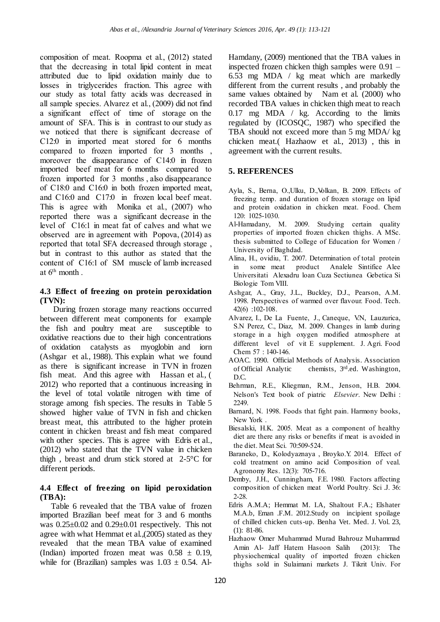composition of meat. Roopma et al., (2012) stated that the decreasing in total lipid content in meat attributed due to lipid oxidation mainly due to losses in triglycerides fraction. This agree with our study as total fatty acids was decreased in all sample species. Alvarez et al., (2009) did not find a significant effect of time of storage on the amount of SFA. This is in contrast to our study as we noticed that there is significant decrease of C12:0 in imported meat stored for 6 months compared to frozen imported for 3 months , moreover the disappearance of C14:0 in frozen imported beef meat for 6 months compared to frozen imported for 3 months , also disappearance of C18:0 and C16:0 in both frozen imported meat, and C16:0 and C17:0 in frozen local beef meat. This is agree with Monika et al., (2007) who reported there was a significant decrease in the level of C16:1 in meat fat of calves and what we observed are in agreement with Popova, (2014) as reported that total SFA decreased through storage , but in contrast to this author as stated that the content of C16:1 of SM muscle of lamb increased at 6th month .

### **4.3 Effect of freezing on protein peroxidation (TVN):**

 During frozen storage many reactions occurred between different meat components for example the fish and poultry meat are susceptible to oxidative reactions due to their high concentrations of oxidation catalysts as myoglobin and iorn (Ashgar et al., 1988). This explain what we found as there is significant increase in TVN in frozen fish meat. And this agree with Hassan et al., ( 2012) who reported that a continuous increasing in the level of total volatile nitrogen with time of storage among fish species. The results in Table 5 showed higher value of TVN in fish and chicken breast meat, this attributed to the higher protein content in chicken breast and fish meat compared with other species. This is agree with Edris et al., (2012) who stated that the TVN value in chicken thigh , breast and drum stick stored at 2-5°C for different periods.

# **4.4 Effect of freezing on lipid peroxidation (TBA):**

Table 6 revealed that the TBA value of frozen imported Brazilian beef meat for 3 and 6 months was 0.25±0.02 and 0.29±0.01 respectively. This not agree with what Hemmat et al.,(2005) stated as they revealed that the mean TBA value of examined (Indian) imported frozen meat was  $0.58 \pm 0.19$ , while for (Brazilian) samples was  $1.03 \pm 0.54$ . Al-

Hamdany, (2009) mentioned that the TBA values in inspected frozen chicken thigh samples were 0.91 – 6.53 mg MDA / kg meat which are markedly different from the current results , and probably the same values obtained by Nam et al. (2000) who recorded TBA values in chicken thigh meat to reach 0.17 mg MDA / kg. According to the limits regulated by (ICOSQC, 1987) who specified the TBA should not exceed more than 5 mg MDA/ kg chicken meat.( Hazhaow et al., 2013) , this in agreement with the current results.

# **5. REFERENCES**

- Ayla, S., Berna, O.,Ulku, D.,Volkan, B. 2009. Effects of freezing temp. and duration of frozen storage on lipid and protein oxidation in chicken meat. Food. Chem 120: 1025-1030.
- Al-Hamadany, M. 2009. Studying certain quality properties of imported frozen chicken thighs. A MSc. thesis submitted to College of Education for Women / University of Baghdad.
- Alina, H., ovidiu, T. 2007. Determination of total protein in some meat product Analele Sintifice Alee Universitati Alexadru loan Cuza Sectiunea Gebetica Si Biologie Tom VIII.
- Ashgar, A., Gray, J.L., Buckley, D.J., Pearson, A.M. 1998. Perspectives of warmed over flavour. Food. Tech. 42(6) :102-108.
- Alvarez, I., De La Fuente, J., Caneque, V.N, Lauzurica, S.N Perez, C., Diaz, M. 2009. Changes in lamb during storage in a high oxygen modified atmosphere at different level of vit E supplement. J. Agri. Food Chem 57 : 140-146.
- AOAC. 1990. Official Methods of Analysis. Association of Official Analytic chemists, 3rd.ed. Washington, D.C.
- Behrman, R.E., Kliegman, R.M., Jenson, H.B. 2004. Nelson's Text book of piatric *Elsevier*. New Delhi : 2249.
- Barnard, N. 1998. Foods that fight pain. Harmony books, New York .
- Biesalski, H.K. 2005. Meat as a component of healthy diet are there any risks or benefits if meat is avoided in the diet. Meat Sci. 70:509-524.
- Baraneko, D., Kolodyaznaya , Broyko.Y. 2014. Effect of cold treatment on amino acid Composition of veal. Agronomy Res. 12(3): 705-716.
- Demby, J.H., Cunningham, F.E. 1980. Factors affecting composition of chicken meat World Poultry*.* Sci .J. 36: 2-28.
- Edris A.M.A; Hemmat M. I.A, Shaltout F.A.; Elshater M.A.b, Eman .F.M. 2012.Study on incipient spoilage of chilled chicken cuts-up. Benha Vet. Med. J. Vol. 23, (1): 81-86.
- Hazhaow Omer Muhammad Murad Bahrouz Muhammad Amin Al- Jaff Hatem Hasoon Salih (2013): The physiochemical quality of imported frozen chicken thighs sold in Sulaimani markets J. Tikrit Univ. For